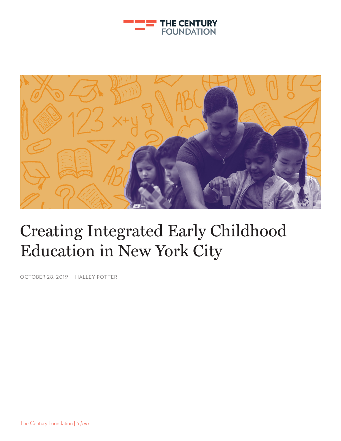



# Creating Integrated Early Childhood Education in New York City

OCTOBER 28, 2019 — HALLEY POTTER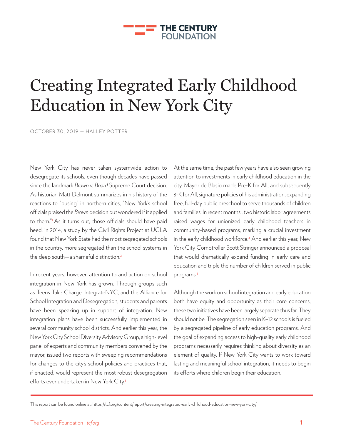

# Creating Integrated Early Childhood Education in New York City

OCTOBER 30, 2019 — HALLEY POTTER

New York City has never taken systemwide action to desegregate its schools, even though decades have passed since the landmark *Brown v. Board* Supreme Court decision. As historian Matt Delmont summarizes in his history of the reactions to "busing" in northern cities, "New York's school officials praised the *Brown* decision but wondered if it applied to them."1 As it turns out, those officials should have paid heed: in 2014, a study by the Civil Rights Project at UCLA found that New York State had the most segregated schools in the country, more segregated than the school systems in the deep south—a shameful distinction.<sup>2</sup>

In recent years, however, attention to and action on school integration in New York has grown. Through groups such as Teens Take Charge, IntegrateNYC, and the Alliance for School Integration and Desegregation, students and parents have been speaking up in support of integration. New integration plans have been successfully implemented in several community school districts. And earlier this year, the New York City School Diversity Advisory Group, a high-level panel of experts and community members convened by the mayor, issued two reports with sweeping recommendations for changes to the city's school policies and practices that, if enacted, would represent the most robust desegregation efforts ever undertaken in New York City.<sup>3</sup>

At the same time, the past few years have also seen growing attention to investments in early childhood education in the city. Mayor de Blasio made Pre-K for All, and subsequently 3-K for All, signature policies of his administration, expanding free, full-day public preschool to serve thousands of children and families. In recent months , two historic labor agreements raised wages for unionized early childhood teachers in community-based programs, marking a crucial investment in the early childhood workforce.4 And earlier this year, New York City Comptroller Scott Stringer announced a proposal that would dramatically expand funding in early care and education and triple the number of children served in public programs.<sup>5</sup>

Although the work on school integration and early education both have equity and opportunity as their core concerns, these two initiatives have been largely separate thus far. They should not be. The segregation seen in K–12 schools is fueled by a segregated pipeline of early education programs. And the goal of expanding access to high-quality early childhood programs necessarily requires thinking about diversity as an element of quality. If New York City wants to work toward lasting and meaningful school integration, it needs to begin its efforts where children begin their education.

This report can be found online at: https://tcf.org/content/report/creating-integrated-early-childhood-education-new-york-city/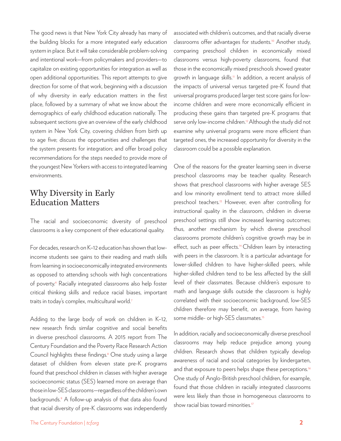The good news is that New York City already has many of the building blocks for a more integrated early education system in place. But it will take considerable problem-solving and intentional work—from policymakers and providers—to capitalize on existing opportunities for integration as well as open additional opportunities. This report attempts to give direction for some of that work, beginning with a discussion of why diversity in early education matters in the first place, followed by a summary of what we know about the demographics of early childhood education nationally. The subsequent sections give an overview of the early childhood system in New York City, covering children from birth up to age five; discuss the opportunities and challenges that the system presents for integration; and offer broad policy recommendations for the steps needed to provide more of the youngest New Yorkers with access to integrated learning environments.

## Why Diversity in Early Education Matters

The racial and socioeconomic diversity of preschool classrooms is a key component of their educational quality.

For decades, research on K–12 education has shown that lowincome students see gains to their reading and math skills from learning in socioeconomically integrated environments as opposed to attending schools with high concentrations of poverty.<sup>6</sup> Racially integrated classrooms also help foster critical thinking skills and reduce racial biases, important traits in today's complex, multicultural world.<sup>7</sup>

Adding to the large body of work on children in K–12, new research finds similar cognitive and social benefits in diverse preschool classrooms. A 2015 report from The Century Foundation and the Poverty Race Research Action Council highlights these findings.<sup>8</sup> One study using a large dataset of children from eleven state pre-K programs found that preschool children in classes with higher average socioeconomic status (SES) learned more on average than those in low-SES classrooms—regardless of the children's own backgrounds.9 A follow-up analysis of that data also found that racial diversity of pre-K classrooms was independently

associated with children's outcomes, and that racially diverse classrooms offer advantages for students.<sup>10</sup> Another study, comparing preschool children in economically mixed classrooms versus high-poverty classrooms, found that those in the economically mixed preschools showed greater growth in language skills.<sup>11</sup> In addition, a recent analysis of the impacts of universal versus targeted pre-K found that universal programs produced larger test score gains for lowincome children and were more economically efficient in producing these gains than targeted pre-K programs that serve only low-income children.<sup>12</sup> Although the study did not examine why universal programs were more efficient than targeted ones, the increased opportunity for diversity in the classroom could be a possible explanation.

One of the reasons for the greater learning seen in diverse preschool classrooms may be teacher quality. Research shows that preschool classrooms with higher average SES and low minority enrollment tend to attract more skilled preschool teachers.<sup>13</sup> However, even after controlling for instructional quality in the classroom, children in diverse preschool settings still show increased learning outcomes; thus, another mechanism by which diverse preschool classrooms promote children's cognitive growth may be in effect, such as peer effects.<sup>14</sup> Children learn by interacting with peers in the classroom. It is a particular advantage for lower-skilled children to have higher-skilled peers, while higher-skilled children tend to be less affected by the skill level of their classmates. Because children's exposure to math and language skills outside the classroom is highly correlated with their socioeconomic background, low-SES children therefore may benefit, on average, from having some middle- or high-SES classmates.<sup>15</sup>

In addition, racially and socioeconomically diverse preschool classrooms may help reduce prejudice among young children. Research shows that children typically develop awareness of racial and social categories by kindergarten, and that exposure to peers helps shape these perceptions.<sup>16</sup> One study of Anglo-British preschool children, for example, found that those children in racially integrated classrooms were less likely than those in homogeneous classrooms to show racial bias toward minorities.<sup>17</sup>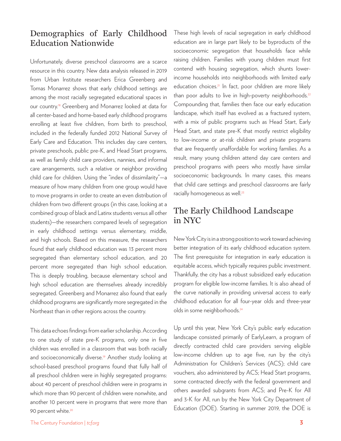## Demographics of Early Childhood Education Nationwide

Unfortunately, diverse preschool classrooms are a scarce resource in this country. New data analysis released in 2019 from Urban Institute researchers Erica Greenberg and Tomas Monarrez shows that early childhood settings are among the most racially segregated educational spaces in our country.<sup>18</sup> Greenberg and Monarrez looked at data for all center-based and home-based early childhood programs enrolling at least five children, from birth to preschool, included in the federally funded 2012 National Survey of Early Care and Education. This includes day care centers, private preschools, public pre-K, and Head Start programs, as well as family child care providers, nannies, and informal care arrangements, such a relative or neighbor providing child care for children. Using the "index of dissimilarity"—a measure of how many children from one group would have to move programs in order to create an even distribution of children from two different groups (in this case, looking at a combined group of black and Latinx students versus all other students)—the researchers compared levels of segregation in early childhood settings versus elementary, middle, and high schools. Based on this measure, the researchers found that early childhood education was 13 percent more segregated than elementary school education, and 20 percent more segregated than high school education. This is deeply troubling, because elementary school and high school education are themselves already incredibly segregated. Greenberg and Monarrez also found that early childhood programs are significantly more segregated in the Northeast than in other regions across the country.

This data echoes findings from earlier scholarship. According to one study of state pre-K programs, only one in five children was enrolled in a classroom that was both racially and socioeconomically diverse.<sup>19</sup> Another study looking at school-based preschool programs found that fully half of all preschool children were in highly segregated programs: about 40 percent of preschool children were in programs in which more than 90 percent of children were nonwhite, and another 10 percent were in programs that were more than 90 percent white.<sup>20</sup>

These high levels of racial segregation in early childhood education are in large part likely to be byproducts of the socioeconomic segregation that households face while raising children. Families with young children must first contend with housing segregation, which shunts lowerincome households into neighborhoods with limited early education choices.<sup>21</sup> In fact, poor children are more likely than poor adults to live in high-poverty neighborhoods.<sup>22</sup> Compounding that, families then face our early education landscape, which itself has evolved as a fractured system, with a mix of public programs such as Head Start, Early Head Start, and state pre-K that mostly restrict eligibility to low-income or at-risk children and private programs that are frequently unaffordable for working families. As a result, many young children attend day care centers and preschool programs with peers who mostly have similar socioeconomic backgrounds. In many cases, this means that child care settings and preschool classrooms are fairly racially homogeneous as well.<sup>23</sup>

## The Early Childhood Landscape in NYC

New York City is in a strong position to work toward achieving better integration of its early childhood education system. The first prerequisite for integration in early education is equitable access, which typically requires public investment. Thankfully, the city has a robust subsidized early education program for eligible low-income families. It is also ahead of the curve nationally in providing universal access to early childhood education for all four-year olds and three-year olds in some neighborhoods.24

Up until this year, New York City's public early education landscape consisted primarily of EarlyLearn, a program of directly contracted child care providers serving eligible low-income children up to age five, run by the city's Administration for Children's Services (ACS); child care vouchers, also administered by ACS; Head Start programs, some contracted directly with the federal government and others awarded subgrants from ACS; and Pre-K for All and 3-K for All, run by the New York City Department of Education (DOE). Starting in summer 2019, the DOE is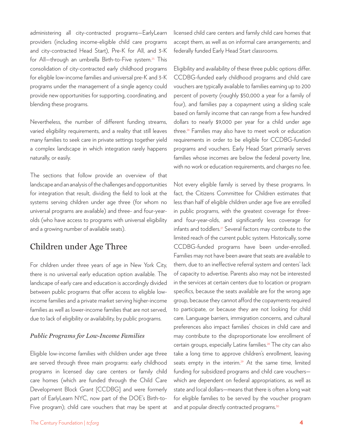administering all city-contracted programs—EarlyLearn providers (including income-eligible child care programs and city-contracted Head Start), Pre-K for All, and 3-K for All—through an umbrella Birth-to-Five system.25 This consolidation of city-contracted early childhood programs for eligible low-income families and universal pre-K and 3-K programs under the management of a single agency could provide new opportunities for supporting, coordinating, and blending these programs.

Nevertheless, the number of different funding streams, varied eligibility requirements, and a reality that still leaves many families to seek care in private settings together yield a complex landscape in which integration rarely happens naturally, or easily.

The sections that follow provide an overview of that landscape and an analysis of the challenges and opportunities for integration that result, dividing the field to look at the systems serving children under age three (for whom no universal programs are available) and three- and four-yearolds (who have access to programs with universal eligibility and a growing number of available seats).

# Children under Age Three

For children under three years of age in New York City, there is no universal early education option available. The landscape of early care and education is accordingly divided between public programs that offer access to eligible lowincome families and a private market serving higher-income families as well as lower-income families that are not served, due to lack of eligibility or availability, by public programs.

### *Public Programs for Low-Income Families*

Eligible low-income families with children under age three are served through three main programs: early childhood programs in licensed day care centers or family child care homes (which are funded through the Child Care Development Block Grant [CCDBG] and were formerly part of EarlyLearn NYC, now part of the DOE's Birth-to-Five program); child care vouchers that may be spent at licensed child care centers and family child care homes that accept them, as well as on informal care arrangements; and federally funded Early Head Start classrooms.

Eligibility and availability of these three public options differ. CCDBG-funded early childhood programs and child care vouchers are typically available to families earning up to 200 percent of poverty (roughly \$50,000 a year for a family of four), and families pay a copayment using a sliding scale based on family income that can range from a few hundred dollars to nearly \$9,000 per year for a child under age three.26 Families may also have to meet work or education requirements in order to be eligible for CCDBG-funded programs and vouchers. Early Head Start primarily serves families whose incomes are below the federal poverty line, with no work or education requirements, and charges no fee.

Not every eligible family is served by these programs. In fact, the Citizens Committee for Children estimates that less than half of eligible children under age five are enrolled in public programs, with the greatest coverage for threeand four-year-olds, and significantly less coverage for infants and toddlers.<sup>27</sup> Several factors may contribute to the limited reach of the current public system. Historically, some CCDBG-funded programs have been under-enrolled. Families may not have been aware that seats are available to them, due to an ineffective referral system and centers' lack of capacity to advertise. Parents also may not be interested in the services at certain centers due to location or program specifics, because the seats available are for the wrong age group, because they cannot afford the copayments required to participate, or because they are not looking for child care. Language barriers, immigration concerns, and cultural preferences also impact families' choices in child care and may contribute to the disproportionate low enrollment of certain groups, especially Latinx families.<sup>28</sup> The city can also take a long time to approve children's enrollment, leaving seats empty in the interim.<sup>29</sup> At the same time, limited funding for subsidized programs and child care vouchers which are dependent on federal appropriations, as well as state and local dollars—means that there is often a long wait for eligible families to be served by the voucher program and at popular directly contracted programs.<sup>30</sup>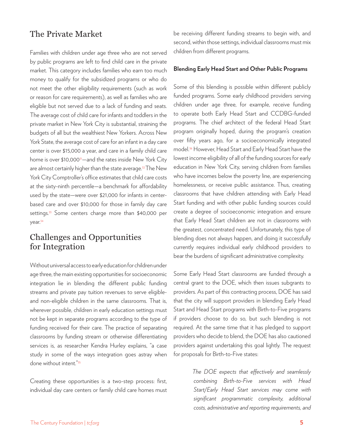## The Private Market

Families with children under age three who are not served by public programs are left to find child care in the private market. This category includes families who earn too much money to qualify for the subsidized programs or who do not meet the other eligibility requirements (such as work or reason for care requirements), as well as families who are eligible but not served due to a lack of funding and seats. The average cost of child care for infants and toddlers in the private market in New York City is substantial, straining the budgets of all but the wealthiest New Yorkers. Across New York State, the average cost of care for an infant in a day care center is over \$15,000 a year, and care in a family child care home is over \$10,000<sup>31</sup>—and the rates inside New York City are almost certainly higher than the state average.<sup>32</sup> The New York City Comptroller's office estimates that child care costs at the sixty-ninth percentile—a benchmark for affordability used by the state—were over \$21,000 for infants in centerbased care and over \$10,000 for those in family day care settings.<sup>33</sup> Some centers charge more than \$40,000 per year.34

## Challenges and Opportunities for Integration

Without universal access to early education for children under age three, the main existing opportunities for socioeconomic integration lie in blending the different public funding streams and private pay tuition revenues to serve eligibleand non-eligible children in the same classrooms. That is, wherever possible, children in early education settings must not be kept in separate programs according to the type of funding received for their care. The practice of separating classrooms by funding stream or otherwise differentiating services is, as researcher Kendra Hurley explains, "a case study in some of the ways integration goes astray when done without intent."35

Creating these opportunities is a two-step process: first, individual day care centers or family child care homes must be receiving different funding streams to begin with, and second, within those settings, individual classrooms must mix children from different programs.

#### **Blending Early Head Start and Other Public Programs**

Some of this blending is possible within different publicly funded programs. Some early childhood providers serving children under age three, for example, receive funding to operate both Early Head Start and CCDBG-funded programs. The chief architect of the federal Head Start program originally hoped, during the program's creation over fifty years ago, for a socioeconomically integrated model.36 However, Head Start and Early Head Start have the lowest income eligibility of all of the funding sources for early education in New York City, serving children from families who have incomes below the poverty line, are experiencing homelessness, or receive public assistance. Thus, creating classrooms that have children attending with Early Head Start funding and with other public funding sources could create a degree of socioeconomic integration and ensure that Early Head Start children are not in classrooms with the greatest, concentrated need. Unfortunately, this type of blending does not always happen, and doing it successfully currently requires individual early childhood providers to bear the burdens of significant administrative complexity.

Some Early Head Start classrooms are funded through a central grant to the DOE, which then issues subgrants to providers. As part of this contracting process, DOE has said that the city will support providers in blending Early Head Start and Head Start programs with Birth-to-Five programs if providers choose to do so, but such blending is not required. At the same time that it has pledged to support providers who decide to blend, the DOE has also cautioned providers against undertaking this goal lightly. The request for proposals for Birth-to-Five states:

> *The DOE expects that effectively and seamlessly combining Birth-to-Five services with Head Start/Early Head Start services may come with significant programmatic complexity, additional costs, administrative and reporting requirements, and*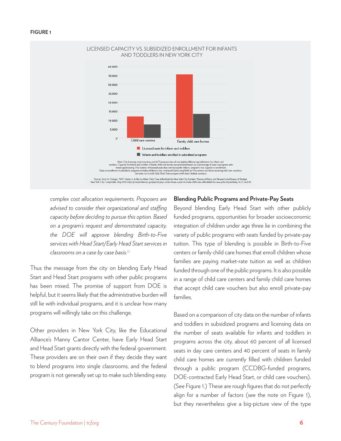

*complex cost allocation requirements. Proposers are advised to consider their organizational and staffing capacity before deciding to pursue this option. Based on a program's request and demonstrated capacity, the DOE will approve blending Birth-to-Five services with Head Start/Early Head Start services in classrooms on a case by case basis.*<sup>37</sup>

Thus the message from the city on blending Early Head Start and Head Start programs with other public programs has been mixed. The promise of support from DOE is helpful, but it seems likely that the administrative burden will still lie with individual programs, and it is unclear how many programs will willingly take on this challenge.

Other providers in New York City, like the Educational Alliance's Manny Cantor Center, have Early Head Start and Head Start grants directly with the federal government. These providers are on their own if they decide they want to blend programs into single classrooms, and the federal program is not generally set up to make such blending easy.

#### **Blending Public Programs and Private-Pay Seats**

Beyond blending Early Head Start with other publicly funded programs, opportunities for broader socioeconomic integration of children under age three lie in combining the variety of public programs with seats funded by private-pay tuition. This type of blending is possible in Birth-to-Five centers or family child care homes that enroll children whose families are paying market-rate tuition as well as children funded through one of the public programs. It is also possible in a range of child care centers and family child care homes that accept child care vouchers but also enroll private-pay families.

Based on a comparison of city data on the number of infants and toddlers in subsidized programs and licensing data on the number of seats available for infants and toddlers in programs across the city, about 60 percent of all licensed seats in day care centers and 40 percent of seats in family child care homes are currently filled with children funded through a public program (CCDBG-funded programs, DOE-contracted Early Head Start, or child care vouchers). (See Figure 1.) These are rough figures that do not perfectly align for a number of factors (see the note on Figure 1), but they nevertheless give a big-picture view of the type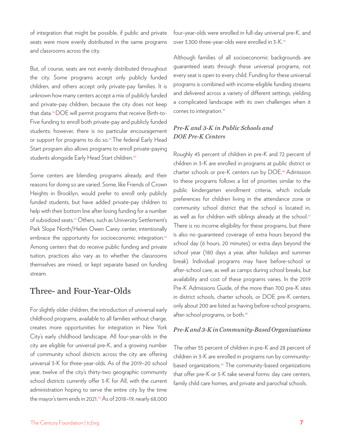of integration that might be possible, if public and private seats were more evenly distributed in the same programs and classrooms across the city.

But, of course, seats are not evenly distributed throughout the city. Some programs accept only publicly funded children, and others accept only private-pay families. It is unknown how many centers accept a mix of publicly funded and private-pay children, because the city does not keep that data.38 DOE will permit programs that receive Birth-to-Five funding to enroll both private-pay and publicly funded students; however, there is no particular encouragement or support for programs to do so.<sup>39</sup> The federal Early Head Start program also allows programs to enroll private-paying students alongside Early Head Start children.<sup>40</sup>

Some centers are blending programs already, and their reasons for doing so are varied. Some, like Friends of Crown Heights in Brooklyn, would prefer to enroll only publicly funded students, but have added private-pay children to help with their bottom line after losing funding for a number of subsidized seats.41 Others, such as University Settlement's Park Slope North/Helen Owen Carey center, intentionally embrace the opportunity for socioeconomic integration.<sup>42</sup> Among centers that do receive public funding and private tuition, practices also vary as to whether the classrooms themselves are mixed, or kept separate based on funding stream.

## Three- and Four-Year-Olds

For slightly older children, the introduction of universal early childhood programs, available to all families without charge, creates more opportunities for integration in New York City's early childhood landscape. All four-year-olds in the city are eligible for universal pre-K, and a growing number of community school districts across the city are offering universal 3-K for three-year-olds. As of the 2019–20 school year, twelve of the city's thirty-two geographic community school districts currently offer 3-K for All, with the current administration hoping to serve the entire city by the time the mayor's term ends in 2021.43 As of 2018–19, nearly 68,000

four-year-olds were enrolled in full-day universal pre-K, and over 3,300 three-year-olds were enrolled in 3-K.44

Although families of all socioeconomic backgrounds are guaranteed seats through these universal programs, not every seat is open to every child. Funding for these universal programs is combined with income-eligible funding streams and delivered across a variety of different settings, yielding a complicated landscape with its own challenges when it comes to integration.<sup>45</sup>

## *Pre-K and 3-K in Public Schools and DOE Pre-K Centers*

Roughly 45 percent of children in pre-K and 72 percent of children in 3-K are enrolled in programs at public district or charter schools or pre-K centers run by DOE.46 Admission to these programs follows a list of priorities similar to the public kindergarten enrollment criteria, which include preferences for children living in the attendance zone or community school district that the school is located in, as well as for children with siblings already at the school.47 There is no income eligibility for these programs, but there is also no guaranteed coverage of extra hours beyond the school day (6 hours, 20 minutes) or extra days beyond the school year (180 days a year, after holidays and summer break). Individual programs may have before-school or after-school care, as well as camps during school breaks, but availability and cost of these programs varies. In the 2019 Pre-K Admissions Guide, of the more than 700 pre-K sites in district schools, charter schools, or DOE pre-K centers, only about 200 are listed as having before-school programs, after-school programs, or both.<sup>48</sup>

### *Pre-K and 3-K in Community-Based Organizations*

The other 55 percent of children in pre-K and 28 percent of children in 3-K are enrolled in programs run by communitybased organizations.49 The community-based organizations that offer pre-K or 3-K take several forms: day care centers, family child care homes, and private and parochial schools.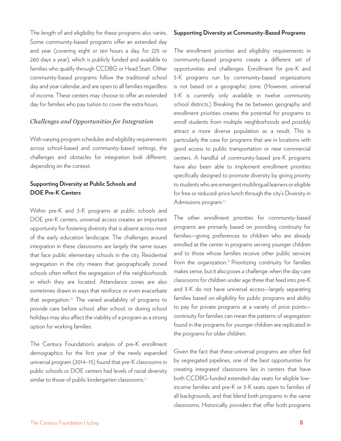The length of and eligibility for these programs also varies. Some community-based programs offer an extended day and year (covering eight or ten hours a day, for 225 or 260 days a year), which is publicly funded and available to families who qualify through CCDBG or Head Start. Other community-based programs follow the traditional school day and year calendar, and are open to all families regardless of income. These centers may choose to offer an extended day for families who pay tuition to cover the extra hours.

#### *Challenges and Opportunities for Integration*

With varying program schedules and eligibility requirements across school-based and community-based settings, the challenges and obstacles for integration look different, depending on the context.

## **Supporting Diversity at Public Schools and DOE Pre-K Centers**

Within pre-K and 3-K programs at public schools and DOE pre-K centers, universal access creates an important opportunity for fostering diversity that is absent across most of the early education landscape. The challenges around integration in these classrooms are largely the same issues that face public elementary schools in the city. Residential segregation in the city means that geographically zoned schools often reflect the segregation of the neighborhoods in which they are located. Attendance zones are also sometimes drawn in ways that reinforce or even exacerbate that segregation.<sup>50</sup> The varied availability of programs to provide care before school, after school, or during school holidays may also affect the viability of a program as a strong option for working families.

The Century Foundation's analysis of pre-K enrollment demographics for the first year of the newly expanded universal program (2014–15) found that pre-K classrooms in public schools or DOE centers had levels of racial diversity similar to those of public kindergarten classrooms.<sup>51</sup>

#### **Supporting Diversity at Community-Based Programs**

The enrollment priorities and eligibility requirements in community-based programs create a different set of opportunities and challenges. Enrollment for pre-K and 3-K programs run by community-based organizations is not based on a geographic zone. (However, universal 3-K is currently only available in twelve community school districts.) Breaking the tie between geography and enrollment priorities creates the potential for programs to enroll students from multiple neighborhoods and possibly attract a more diverse population as a result. This is particularly the case for programs that are in locations with good access to public transportation or near commercial centers. A handful of community-based pre-K programs have also been able to implement enrollment priorities specifically designed to promote diversity by giving priority to students who are emergent multilingual learners or eligible for free or reduced-price lunch through the city's Diversity in Admissions program.<sup>52</sup>

The other enrollment priorities for community-based programs are primarily based on providing continuity for families—giving preferences to children who are already enrolled at the center in programs serving younger children and to those whose families receive other public services from the organization.<sup>53</sup> Prioritizing continuity for families makes sense, but it also poses a challenge: when the day care classrooms for children under age three that feed into pre-K and 3-K do not have universal access—largely separating families based on eligibility for public programs and ability to pay for private programs at a variety of price points continuity for families can mean the patterns of segregation found in the programs for younger children are replicated in the programs for older children.

Given the fact that these universal programs are often fed by segregated pipelines, one of the best opportunities for creating integrated classrooms lies in centers that have both CCDBG-funded extended-day seats for eligible lowincome families and pre-K or 3-K seats open to families of all backgrounds, and that blend both programs in the same classrooms. Historically, providers that offer both programs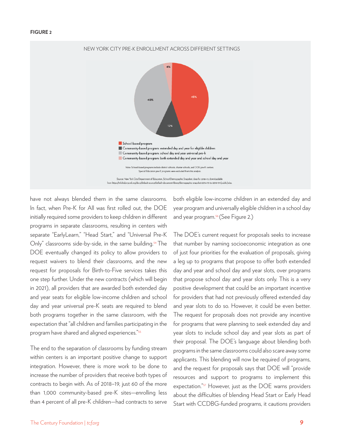#### **FIGURE 2**



have not always blended them in the same classrooms. In fact, when Pre-K for All was first rolled out, the DOE initially required some providers to keep children in different programs in separate classrooms, resulting in centers with separate "EarlyLearn," "Head Start," and "Universal Pre-K Only" classrooms side-by-side, in the same building.<sup>54</sup> The DOE eventually changed its policy to allow providers to request waivers to blend their classrooms, and the new request for proposals for Birth-to-Five services takes this one step further. Under the new contracts (which will begin in 2021), all providers that are awarded both extended day and year seats for eligible low-income children and school day and year universal pre-K seats are required to blend both programs together in the same classroom, with the expectation that "all children and families participating in the program have shared and aligned experiences."55

The end to the separation of classrooms by funding stream within centers is an important positive change to support integration. However, there is more work to be done to increase the number of providers that receive both types of contracts to begin with. As of 2018–19, just 60 of the more than 1,000 community-based pre-K sites—enrolling less than 4 percent of all pre-K children—had contracts to serve

both eligible low-income children in an extended day and year program and universally eligible children in a school day and year program.<sup>56</sup> (See Figure 2.)

The DOE's current request for proposals seeks to increase that number by naming socioeconomic integration as one of just four priorities for the evaluation of proposals, giving a leg up to programs that propose to offer both extended day and year and school day and year slots, over programs that propose school day and year slots only. This is a very positive development that could be an important incentive for providers that had not previously offered extended day and year slots to do so. However, it could be even better. The request for proposals does not provide any incentive for programs that were planning to seek extended day and year slots to include school day and year slots as part of their proposal. The DOE's language about blending both programs in the same classrooms could also scare away some applicants. This blending will now be required of programs, and the request for proposals says that DOE will "provide resources and support to programs to implement this expectation."<sup>57</sup> However, just as the DOE warns providers about the difficulties of blending Head Start or Early Head Start with CCDBG-funded programs, it cautions providers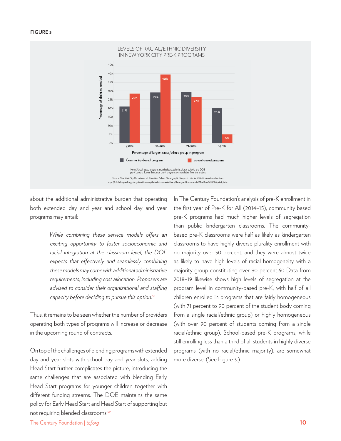#### **FIGURE 3**



about the additional administrative burden that operating both extended day and year and school day and year programs may entail:

> *While combining these service models offers an exciting opportunity to foster socioeconomic and racial integration at the classroom level, the DOE expects that effectively and seamlessly combining these models may come with additional administrative requirements, including cost allocation. Proposers are advised to consider their organizational and staffing capacity before deciding to pursue this option.*<sup>58</sup>

Thus, it remains to be seen whether the number of providers operating both types of programs will increase or decrease in the upcoming round of contracts.

On top of the challenges of blending programs with extended day and year slots with school day and year slots, adding Head Start further complicates the picture, introducing the same challenges that are associated with blending Early Head Start programs for younger children together with different funding streams. The DOE maintains the same policy for Early Head Start and Head Start of supporting but not requiring blended classrooms.<sup>59</sup>

In The Century Foundation's analysis of pre-K enrollment in the first year of Pre-K for All (2014–15), community based pre-K programs had much higher levels of segregation than public kindergarten classrooms. The communitybased pre-K classrooms were half as likely as kindergarten classrooms to have highly diverse plurality enrollment with no majority over 50 percent, and they were almost twice as likely to have high levels of racial homogeneity with a majority group constituting over 90 percent.60 Data from 2018–19 likewise shows high levels of segregation at the program level in community-based pre-K, with half of all children enrolled in programs that are fairly homogeneous (with 71 percent to 90 percent of the student body coming from a single racial/ethnic group) or highly homogeneous (with over 90 percent of students coming from a single racial/ethnic group). School-based pre-K programs, while still enrolling less than a third of all students in highly diverse programs (with no racial/ethnic majority), are somewhat more diverse. (See Figure 3.)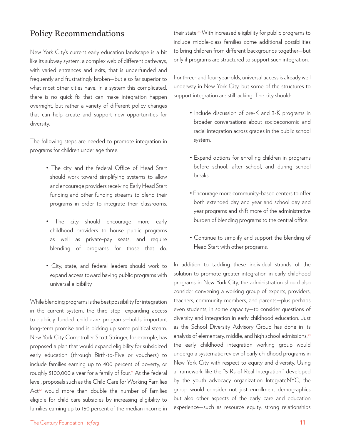## Policy Recommendations

New York City's current early education landscape is a bit like its subway system: a complex web of different pathways, with varied entrances and exits, that is underfunded and frequently and frustratingly broken—but also far superior to what most other cities have. In a system this complicated, there is no quick fix that can make integration happen overnight, but rather a variety of different policy changes that can help create and support new opportunities for diversity.

The following steps are needed to promote integration in programs for children under age three:

- The city and the federal Office of Head Start should work toward simplifying systems to allow and encourage providers receiving Early Head Start funding and other funding streams to blend their programs in order to integrate their classrooms.
- The city should encourage more early childhood providers to house public programs as well as private-pay seats, and require blending of programs for those that do.
- City, state, and federal leaders should work to expand access toward having public programs with universal eligibility.

While blending programs is the best possibility for integration in the current system, the third step—expanding access to publicly funded child care programs—holds important long-term promise and is picking up some political steam. New York City Comptroller Scott Stringer, for example, has proposed a plan that would expand eligibility for subsidized early education (through Birth-to-Five or vouchers) to include families earning up to 400 percent of poverty, or roughly \$100,000 a year for a family of four.<sup>61</sup> At the federal level, proposals such as the Child Care for Working Families Act<sup>62</sup> would more than double the number of families eligible for child care subsidies by increasing eligibility to families earning up to 150 percent of the median income in their state.<sup>63</sup> With increased eligibility for public programs to include middle-class families come additional possibilities to bring children from different backgrounds together—but only if programs are structured to support such integration.

For three- and four-year-olds, universal access is already well underway in New York City, but some of the structures to support integration are still lacking. The city should:

- Include discussion of pre-K and 3-K programs in broader conversations about socioeconomic and racial integration across grades in the public school system.
- Expand options for enrolling children in programs before school, after school, and during school breaks.
- Encourage more community-based centers to offer both extended day and year and school day and year programs and shift more of the administrative burden of blending programs to the central office.
- Continue to simplify and support the blending of Head Start with other programs.

In addition to tackling these individual strands of the solution to promote greater integration in early childhood programs in New York City, the administration should also consider convening a working group of experts, providers, teachers, community members, and parents—plus perhaps even students, in some capacity—to consider questions of diversity and integration in early childhood education. Just as the School Diversity Advisory Group has done in its analysis of elementary, middle, and high school admissions,<sup>64</sup> the early childhood integration working group would undergo a systematic review of early childhood programs in New York City with respect to equity and diversity. Using a framework like the "5 Rs of Real Integration," developed by the youth advocacy organization IntegrateNYC, the group would consider not just enrollment demographics but also other aspects of the early care and education experience—such as resource equity, strong relationships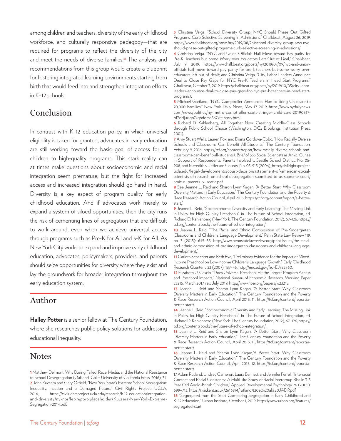among children and teachers, diversity of the early childhood workforce, and culturally responsive pedagogy—that are required for programs to reflect the diversity of the city and meet the needs of diverse families.<sup>65</sup> The analysis and recommendations from this group would create a blueprint for fostering integrated learning environments starting from birth that would feed into and strengthen integration efforts in K–12 schools.

# Conclusion

In contrast with K–12 education policy, in which universal eligibility is taken for granted, advocates in early education are still working toward the basic goal of access for all children to high-quality programs. This stark reality can at times make questions about socioeconomic and racial integration seem premature, but the fight for increased access and increased integration should go hand in hand. Diversity is a key aspect of program quality for early childhood education. And if advocates work merely to expand a system of siloed opportunities, then the city runs the risk of cementing lines of segregation that are difficult to work around, even when we achieve universal access through programs such as Pre-K for All and 3-K for All. As New York City works to expand and improve early childhood education, advocates, policymakers, providers, and parents should seize opportunities for diversity where they exist and lay the groundwork for broader integration throughout the early education system.

# Author

**Halley Potter** is a senior fellow at The Century Foundation, where she researches public policy solutions for addressing educational inequality.

# Notes

**3** Christina Veiga, "School Diversity Group: NYC Should Phase Out Gifted Programs, Curb Selective Screening in Admissions," Chalkbeat, August 26, 2019, https://www.chalkbeat.org/posts/ny/2019/08/26/school-diversity-group-says-nycshould-phase-out-gifted-programs-curb-selective-screening-in-admissions/.

**4** Christina Veiga, "NYC and Union Officials Hail Move toward Pay parity for Pre-K Teachers but Some Worry over Educators Left Out of Deal," Chalkbeat, July 9, 2019, https://www.chalkbeat.org/posts/ny/2019/07/09/nyc-and-unionofficials-hail-move-toward-pay-parity-for-pre-k-teachers-but-some-worry-overeducators-left-out-of-deal/; and Christina Veiga, "City, Labor Leaders Announce Deal to Close Pay Gaps for NYC Pre-K Teachers in Head Start Programs," Chalkbeat, October 3, 2019, https://chalkbeat.org/posts/ny/2019/10/03/city-laborleaders-announce-deal-to-close-pay-gaps-for-nyc-pre-k-teachers-in-head-startprograms/.

**5** Michael Gartland, "NYC Comptroller Announces Plan to Bring Childcare to 70,000 Families," New York Daily News, May 17, 2019, https://www.nydailynews. com/news/politics/ny-metro-comptroller-scott-stringer-child-care-20190517 pf7zidjuxjgo7kghddma567kfe-story.html.

**6** Richard D. Kahlenberg, All Together Now: Creating Middle-Class Schools through Public School Choice (Washington, D.C.: Brookings Institution Press, 2001).

**7** Amy Stuart Wells, Lauren Fox, and Diana Cordova-Cobo, "How Racially Diverse Schools and Classrooms Can Benefit All Students," The Century Foundation, February 9, 2016, https://tcf.org/content/report/how-racially-diverse-schools-andclassrooms-can-benefit-all-students/. Brief of 553 Social Scientists as Amici Curiae in Support of Respondents, Parents Involved v. Seattle School District, No. 05- 908, and Meredith v. Jefferson County, No. 05-915 (2006), http://civilrightsproject. ucla.edu/legal-developments/court-decisions/statement-of-american-socialscientists-of-research-on-school-desegregation-submitted-to-us-supreme-court/ amicus\_parents\_v\_seatle.pdf.

**8** See Jeanne L. Reid and Sharon Lynn Kagan, "A Better Start: Why Classroom Diversity Matters in Early Education," The Century Foundation and the Poverty & Race Research Action Council, April 2015, https://tcf.org/content/report/a-betterstart/.

**9** Jeanne L. Reid, "Socioeconomic Diversity and Early Learning: The Missing Link in Policy for High-Quality Preschools" in The Future of School Integration, ed. Richard D. Kahlenberg (New York: The Century Foundation, 2012), 67–126, https:// tcf.org/content/book/the-future-of-school-integration/.

**10** Jeanne L. Reid, "The Racial and Ethnic Composition of Pre-Kindergarten Classrooms and Children's Language Development," Penn State Law Review 119, no. 3 (2015): 645–85, http://www.pennstatelawreview.org/print-issues/the-racialand-ethnic-composition-of-prekindergarten-classrooms-and-childrens-languagedevelopment/.

**11** Carlota Schechter and Beth Bye, "Preliminary Evidence for the Impact of Mixed-Income Preschool on Low-income Children's Language Growth," Early Childhood Research Quarterly 22 (2007): 137–46, http://eric.ed.gov/?id=EJ752960.

**12** Elizabeth U. Cascio, "Does Universal Preschool Hit the Target? Program Access and Preschool Impacts," National Bureau of Economic Research, Working Paper 23215, March 2017, rev. July 2019, http://www.nber.org/papers/w23215.

**13** Jeanne L. Reid and Sharon Lynn Kagan, "A Better Start: Why Classroom Diversity Matters in Early Education," The Century Foundation and the Poverty & Race Research Action Council, April 2015, 11, https://tcf.org/content/report/abetter-start/.

**14** Jeanne L. Reid, "Socioeconomic Diversity and Early Learning: The Missing Link in Policy for High-Quality Preschools" in The Future of School Integration, ed. Richard D. Kahlenberg (New York: The Century Foundation, 2012), 67–126, https:// tcf.org/content/book/the-future-of-school-integration/.

**15** Jeanne L. Reid and Sharon Lynn Kagan, "A Better Start: Why Classroom Diversity Matters in Early Education," The Century Foundation and the Poverty & Race Research Action Council, April 2015, 11, https://tcf.org/content/report/abetter-start/.

**16** Jeanne L. Reid and Sharon Lynn Kagan,"A Better Start: Why Classroom Diversity Matters in Early Education," The Century Foundation and the Poverty & Race Research Action Council, April 2015, 12, https://tcf.org/content/report/abetter-start/.

**<sup>1</sup>** Matthew Delmont, Why Busing Failed: Race, Media, and the National Resistance to School Desegregation (Oakland, Calif.: University of California Press, 2016), 31. **2** John Kucsera and Gary Orfield, "New York State's Extreme School Segregation: Inequality, Inaction and a Damaged Future," Civil Rights Project, UCLA, 2014, https://civilrightsproject.ucla.edu/research/k-12-education/integrationand-diversity/ny-norflet-report-placeholder/ Kucsera-New-York-Extreme-Segregation-2014.pdf.

<sup>17</sup> Adam Rutland, Lindsey Cameron, Laura Bennett, and Jennifer Ferrell, "Interracial Contact and Racial Constancy: A Multi-site Study of Racial Intergroup Bias in 3-5 Year Old Anglo-British Children," Applied Developmental Psychology 26 (2005): 699–713, https://kar.kent.ac.uk/26168/4/rutland%20et%20al%20JADP.pdf.

**<sup>18</sup>** "Segregated from the Start Comparing Segregation in Early Childhood and K–12 Education," Urban Institute, October 1, 2019, https://www.urban.org/features/ segregated-start.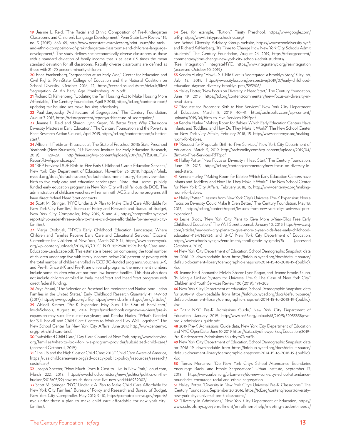**19** Jeanne L. Reid, "The Racial and Ethnic Composition of Pre-Kindergarten Classrooms and Children's Language Development," Penn State Law Review 119, no. 3 (2015): 668–69, http://www.pennstatelawreview.org/print-issues/the-racialand-ethnic-composition-of-prekindergarten-classrooms-and-childrens-languagedevelopment/. The study defines socioeconomically diverse classrooms as those with a standard deviation of family income that is at least 0.5 times the mean standard deviation for all classrooms. Racially diverse classrooms are defined as those with 21–70 percent minority children.

**20** Erica Frankenberg, "Segregation at an Early Age," Center for Education and Civil Rights, PennState College of Education and the National Coalition on School Diversity, October 2016, 12, https://cecr.ed.psu.edu/sites/default/files/ Segregation\_At\_An\_Early\_Age\_Frankenberg\_2016.pdf

**21** Richard D. Kahlenberg, "Updating the Fair Housing Act to Make Housing More Affordable," The Century Foundation, April 9, 2018, https://tcf.org/content/report/ updating-fair-housing-act-make-housing-affordable/.

**22** Paul Jargowsky, "Architecture of Segregation," The Century Foundation, August 7, 2015, https://tcf.org/content/report/architecture-of-segregation/.

**23** Jeanne L. Reid and Sharon Lynn Kagan, "A Better Start: Why Classroom Diversity Matters in Early Education," The Century Foundation and the Poverty & Race Research Action Council, April 2015, https://tcf.org/content/report/a-betterstart/.

**24** Allison H. Freidman-Krauss, et al., The State of Preschool 2018: State Preschool Yearbook (New Brunswick, NJ: National Institute for Early Education Research, 2019), 128–29, http://nieer.org/wp-content/uploads/2019/08/YB2018\_Full-ReportR3wAppendices.pdf.

**25** "RFP Preview: DOE Birth-to-Five Early Childhood Care + Education Services," New York City Department of Education, November 26, 2018, https://infohub. nyced.org/docs/default-source/default-document-library/rfp-preview-doebirth-to-five-early-care-and-education-services.pdf. Note that some publicly funded early education programs in New York City will still fall outside DOE. The administration of childcare vouchers will remain with ACS, and some programs still have direct federal Head Start contracts.

**26** Scott M. Stringer, "NYC Under 3: A Plan to Make Child Care Affordable for New York City Families," Bureau of Policy and Research and Bureau of Budget, New York City Comptroller, May 2019, 5 and 41, https://comptroller.nyc.gov/ reports/nyc-under-three-a-plan-to-make-child-care-affordable-for-new-york-cityfamilies/.

**27** Marija Drobnjak, "NYC's Early Childhood Education Landscape: Where Children and Families Receive Early Care and Educational Services," Citizens' Committee for Children of New York, March 2019, 14, https://www.cccnewyork. org/wp-content/uploads/2019/03/CCC\_NYC%E2%80%99s-Early-Care-and-Education-Landscape.pdf. This estimate is based on comparing the total number of children under age five with family incomes below 200 percent of poverty with the total number of children enrolled in CCDBG-funded programs, vouchers, 3-K, and Pre-K. Since 3-K and Pre-K are universal programs, the enrollment numbers include some children who are not from low-income families. This data also does not include children enrolled in Early Head Start and Head Start programs with direct federal funding.

**28** Arya Ansari, "The Selection of Preschool for Immigrant and Native-born Latino Families in the United States," Early Childhood Research Quarterly 41: 149-160 (2017), https://www.google.com/url?q=https://www.ncbi.nlm.nih.gov/pmc/articles/ **29** Abigail Kramer, "Pre-K Expansion May Suck Life Out of EarlyLearn," InsideSchools, August 18, 2014, https://insideschools.org/news-&-views/pre-kexpansion-may-suck-life-out-of-earlylearn; and Kendra Hurley, "What's Needed for '3-K For all' and Child Care Centers to Work and Play Well Together?" The New School Center for New York City Affairs, June 2017, http://www.centernyc. org/prek-child-care-brief.

**30** "Subsidized Child Care," Day Care Council of New York, https://www.dccnyinc. org/families/what-to-look-for-in-a-program-provider/subsidized-child-care/ (accessed October 4, 2019).

**31** "The US and the High Cost of Child Care: 2018," Child Care Aware of America, https://usa.childcareaware.org/advocacy-public-policy/resources/research/ costofcare/

**32** Joseph Spector, "How Much Does It Cost to Live in New York," lohud.com, March 222, 2018, https://www.lohud.com/story/news/politics/politics-on-thehudson/2018/03/22/how-much-does-cost-live-new-york/446959002/

**33** Scott M. Stringer, "NYC Under 3: A Plan to Make Child Care Affordable for New York City Families," Bureau of Policy and Research and Bureau of Budget, New York City Comptroller, May 2019, 9–10, https://comptroller.nyc.gov/reports/ nyc-under-three-a-plan-to-make-child-care-affordable-for-new-york-cityfamilies/.

**34** See, for example, "Tuition," Trinity Preschool, https://www.google.com/ url?q=https://www.trinitypreschoolnyc.org/

See School Diversity Advisory Group website, https://www.schooldiversity.nyc/; and Richard Kahlenberg, "It's Time to Change How New York City Schools Admit Students," The Century Foundation, August 26, 2019, https://tcf.org/content/ commentary/time-change-new-york-city-schools-admit-students/.

"Real Integration," IntegrateNYC, https://www.integratenyc.org/realintegration (accessed October 10, 2019)

**35** Kendra Hurley, "How U.S. Child Care Is Segregated: a Brooklyn Story," CityLab, July 15, 2019, https://www.citylab.com/perspective/2019/07/early-childhoodeducation-daycare-diversity-brooklyn-prek/593908/.

**36** Halley Potter, "New Focus on Diversity in Head Start," The Century Foundation, June 19, 2015, https://tcf.org/content/commentary/new-focus-on-diversity-inhead-start/.

**37** "Request for Proposals: Birth-to-Five Services," New York City Department of Education, March 5, 2019, 40–41, http://sachspolicy.com/wp-content/ uploads/2019/04/Birth-to-Five-Services-RFP.pdf.

**38** Kendra Hurley, "Making Room for Babies: Which Early Education Centers Have Infants and Toddlers, and How Do They Make It Work?" The New School Center for New York City Affairs, February 2018, 15, http://www.centernyc.org/makingroom-for-babies.

**39** "Request for Proposals: Birth-to-Five Services," New York City Department of Education, March 5, 2019, http://sachspolicy.com/wp-content/uploads/2019/04/ Birth-to-Five-Services-RFP.pdf.

**40** Halley Potter, "New Focus on Diversity in Head Start," The Century Foundation, June 19, 2015, https://tcf.org/content/commentary/new-focus-on-diversity-inhead-start/.

**41** Kendra Hurley, "Making Room for Babies: Which Early Education Centers have Infants and Toddlers, and How Do They Make It Work?" The New School Center for New York City Affairs, February 2018, 15, http://www.centernyc.org/makingroom-for-babies.

**42** Halley Potter, "Lessons from New York City's Universal Pre-K Expansion: How a Focus on Diversity Could Make It Even Better," The Century Foundation, May 13, 2015, https://tcf.org/content/report/lessons-from-new-york-citys-universal-prekexpansion/.

**43** Leslie Brody, "New York City Plans to Give More 3-Year-Olds Free Early Childhood Education," The Wall Street Journal, January 10, 2019, https://www.wsj. com/articles/new-york-city-plans-to-give-more-3-year-olds-free-early-childhoodeducation-11547165926; and "3-K," New York City Department of Education, https://www.schools.nyc.gov/enrollment/enroll-grade-by-grade/3k (accessed October 4, 2019).

**44** New York City Department of Education, School Demographic Snapshot, data for 2018–19, downloadable from https://infohub.nyced.org/docs/default-source/ default-document-library/demographic-snapshot-2014-15-to-2018-19-(public). xlsx.

**45** Jeanne Reid, Samantha Melvin, Sharon Lynn Kagan, and Jeanne Brooks-Gunn, "Building a Unified System for Universal Pre-K: The Case of New York City," Children and Youth Services Review 100 (2019): 191–205.

**46** New York City Department of Education, School Demographic Snapshot, data for 2018–19, downloadable from https://infohub.nyced.org/docs/default-source/ default-document-library/demographic-snapshot-2014-15-to-2018-19-(public). xlsx.

**47** "2019 NYC Pre-K Admissions Guide," New York City Department of Education, January 2019, http://www.ps68.org/uploads/8/2/0/5/82053858/nycpre-k-admissions-guide.pdf.

**48** 2019 Pre-K Admissions Guide data, New York City Department of Education and NYC OpenData, June 10, 2019, https://data.cityofnewyork.us/Education/2019- Pre-Kindergarten-Admissions-Guide/fp78-wt5b.

**49** New York City Department of Education, School Demographic Snapshot, data for 2018–19, downloadable from https://infohub.nyced.org/docs/default-source/ default-document-library/demographic-snapshot-2014-15-to-2018-19-(public). xlsx.

**50** Tomas Monarrez, "Do New York City's School Attendance Boundaries Encourage Racial and Ethnic Segregation?" Urban Institute, September 17, 2018, https://www.urban.org/urban-wire/do-new-york-citys-school-attendanceboundaries-encourage-racial-and-ethnic-segregation.

**51** Halley Potter, "Diversity in New York City's Universal Pre-K Classrooms," The Century Foundation, September 20, 2016, https://tcf.org/content/report/diversitynew-york-citys-universal-pre-k-classrooms/.

**52** "Diversity in Admissions," New York City Department of Education, https:// www.schools.nyc.gov/enrollment/enrollment-help/meeting-student-needs/